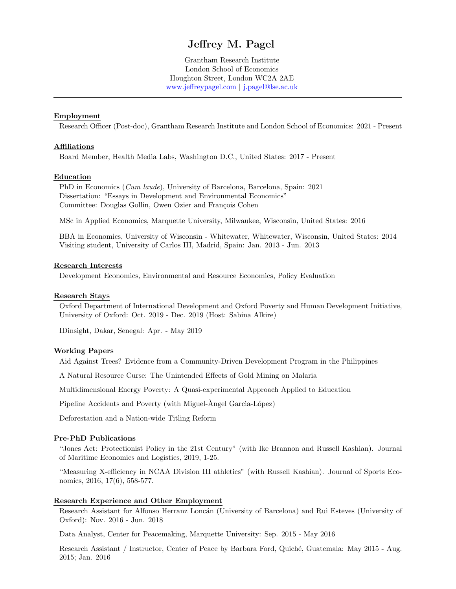# Jeffrey M. Pagel

Grantham Research Institute London School of Economics Houghton Street, London WC2A 2AE [www.jeffreypagel.com](https://www.jeffreypagel.com/) | [j.pagel@lse.ac.uk](mailto:j.pagel@lse.ac.uk)

## Employment

Research Officer (Post-doc), Grantham Research Institute and London School of Economics: 2021 - Present

#### **Affiliations**

Board Member, Health Media Labs, Washington D.C., United States: 2017 - Present

### Education

PhD in Economics (Cum laude), University of Barcelona, Barcelona, Spain: 2021 Dissertation: "Essays in Development and Environmental Economics" Committee: Douglas Gollin, Owen Ozier and François Cohen

MSc in Applied Economics, Marquette University, Milwaukee, Wisconsin, United States: 2016

BBA in Economics, University of Wisconsin - Whitewater, Whitewater, Wisconsin, United States: 2014 Visiting student, University of Carlos III, Madrid, Spain: Jan. 2013 - Jun. 2013

## Research Interests

Development Economics, Environmental and Resource Economics, Policy Evaluation

#### Research Stays

Oxford Department of International Development and Oxford Poverty and Human Development Initiative, University of Oxford: Oct. 2019 - Dec. 2019 (Host: Sabina Alkire)

IDinsight, Dakar, Senegal: Apr. - May 2019

#### Working Papers

Aid Against Trees? Evidence from a Community-Driven Development Program in the Philippines

A Natural Resource Curse: The Unintended Effects of Gold Mining on Malaria

Multidimensional Energy Poverty: A Quasi-experimental Approach Applied to Education

Pipeline Accidents and Poverty (with Miguel-Angel Garcia-López)

Deforestation and a Nation-wide Titling Reform

## Pre-PhD Publications

"Jones Act: Protectionist Policy in the 21st Century" (with Ike Brannon and Russell Kashian). Journal of Maritime Economics and Logistics, 2019, 1-25.

"Measuring X-efficiency in NCAA Division III athletics" (with Russell Kashian). Journal of Sports Economics, 2016, 17(6), 558-577.

### Research Experience and Other Employment

Research Assistant for Alfonso Herranz Loncán (University of Barcelona) and Rui Esteves (University of Oxford): Nov. 2016 - Jun. 2018

Data Analyst, Center for Peacemaking, Marquette University: Sep. 2015 - May 2016

Research Assistant / Instructor, Center of Peace by Barbara Ford, Quiché, Guatemala: May 2015 - Aug. 2015; Jan. 2016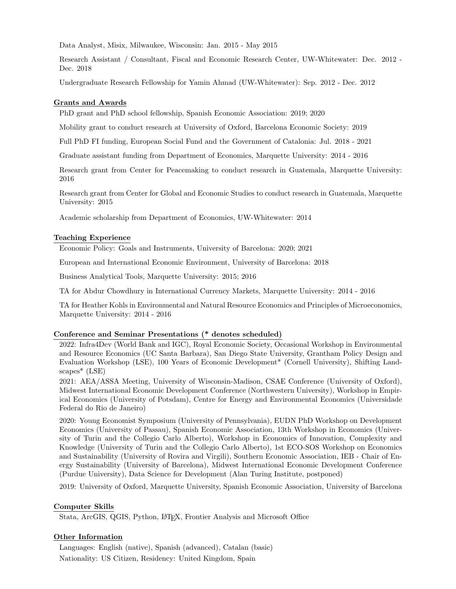Data Analyst, Misix, Milwaukee, Wisconsin: Jan. 2015 - May 2015

Research Assistant / Consultant, Fiscal and Economic Research Center, UW-Whitewater: Dec. 2012 - Dec. 2018

Undergraduate Research Fellowship for Yamin Ahmad (UW-Whitewater): Sep. 2012 - Dec. 2012

## Grants and Awards

PhD grant and PhD school fellowship, Spanish Economic Association: 2019; 2020

Mobility grant to conduct research at University of Oxford, Barcelona Economic Society: 2019

Full PhD FI funding, European Social Fund and the Government of Catalonia: Jul. 2018 - 2021

Graduate assistant funding from Department of Economics, Marquette University: 2014 - 2016

Research grant from Center for Peacemaking to conduct research in Guatemala, Marquette University: 2016

Research grant from Center for Global and Economic Studies to conduct research in Guatemala, Marquette University: 2015

Academic scholarship from Department of Economics, UW-Whitewater: 2014

## Teaching Experience

Economic Policy: Goals and Instruments, University of Barcelona: 2020; 2021

European and International Economic Environment, University of Barcelona: 2018

Business Analytical Tools, Marquette University: 2015; 2016

TA for Abdur Chowdhury in International Currency Markets, Marquette University: 2014 - 2016

TA for Heather Kohls in Environmental and Natural Resource Economics and Principles of Microeconomics, Marquette University: 2014 - 2016

## Conference and Seminar Presentations (\* denotes scheduled)

2022: Infra4Dev (World Bank and IGC), Royal Economic Society, Occasional Workshop in Environmental and Resource Economics (UC Santa Barbara), San Diego State University, Grantham Policy Design and Evaluation Workshop (LSE), 100 Years of Economic Development\* (Cornell University), Shifting Landscapes\* (LSE)

2021: AEA/ASSA Meeting, University of Wisconsin-Madison, CSAE Conference (University of Oxford), Midwest International Economic Development Conference (Northwestern University), Workshop in Empirical Economics (University of Potsdam), Centre for Energy and Environmental Economics (Universidade Federal do Rio de Janeiro)

2020: Young Economist Symposium (University of Pennsylvania), EUDN PhD Workshop on Development Economics (University of Passau), Spanish Economic Association, 13th Workshop in Economics (University of Turin and the Collegio Carlo Alberto), Workshop in Economics of Innovation, Complexity and Knowledge (University of Turin and the Collegio Carlo Alberto), 1st ECO-SOS Workshop on Economics and Sustainability (University of Rovira and Virgili), Southern Economic Association, IEB - Chair of Energy Sustainability (University of Barcelona), Midwest International Economic Development Conference (Purdue University), Data Science for Development (Alan Turing Institute, postponed)

2019: University of Oxford, Marquette University, Spanish Economic Association, University of Barcelona

## Computer Skills

Stata, ArcGIS, QGIS, Python, LATEX, Frontier Analysis and Microsoft Office

## Other Information

Languages: English (native), Spanish (advanced), Catalan (basic) Nationality: US Citizen, Residency: United Kingdom, Spain